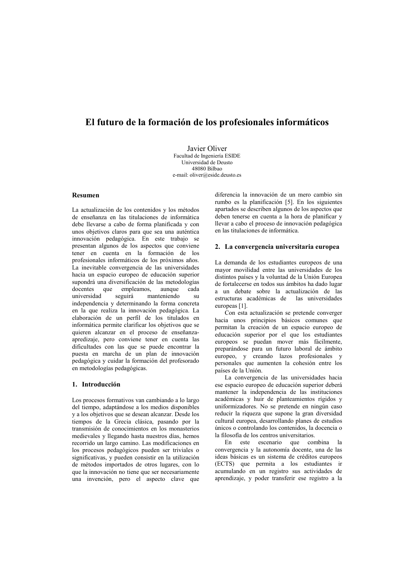# El futuro de la formación de los profesionales informáticos

**Iavier Oliver** Facultad de Ingeniería ESIDE Universidad de Deusto 48080 Bilbao e-mail: oliver@eside.deusto.es

### **Resumen**

La actualización de los contenidos y los métodos de enseñanza en las titulaciones de informática debe llevarse a cabo de forma planificada y con unos objetivos claros para que sea una auténtica innovación pedagógica. En este trabajo se presentan algunos de los aspectos que conviene tener en cuenta en la formación de los profesionales informáticos de los próximos años. La inevitable convergencia de las universidades hacia un espacio europeo de educación superior supondrá una diversificación de las metodologías docentes que empleamos, aunque cada universidad seguirá manteniendo su independencia y determinando la forma concreta en la que realiza la innovación nedagógica. La elaboración de un perfil de los titulados en informática permite clarificar los objetivos que se quieren alcanzar en el proceso de enseñanzaapredizaje, pero conviene tener en cuenta las dificultades con las que se puede encontrar la puesta en marcha de un plan de innovación pedagógica y cuidar la formación del profesorado en metodologías pedagógicas.

### 1. Introducción

Los procesos formativos van cambiando a lo largo del tiempo, adaptándose a los medios disponibles y a los objetivos que se desean alcanzar. Desde los tiempos de la Grecia clásica, pasando por la transmisión de conocimientos en los monasterios medievales y llegando hasta nuestros días, hemos recorrido un largo camino. Las modificaciones en los procesos pedagógicos pueden ser triviales o significativas, y pueden consistir en la utilización de métodos importados de otros lugares, con lo que la innovación no tiene que ser necesariamente una invención, pero el aspecto clave que

diferencia la innovación de un mero cambio sin rumbo es la planificación [5]. En los siguientes apartados se describen algunos de los aspectos que deben tenerse en cuenta a la hora de planificar y llevar a cabo el proceso de innovación pedagógica en las titulaciones de informática.

### 2. La convergencia universitaria europea

La demanda de los estudiantes europeos de una mayor movilidad entre las universidades de los distintos países y la voluntad de la Unión Europea de fortalecerse en todos sus ámbitos ha dado lugar a un debate sobre la actualización de las estructuras académicas de las universidades europeas [1].

Con esta actualización se pretende converger hacia unos principios básicos comunes que permitan la creación de un espacio europeo de educación superior por el que los estudiantes europeos se puedan mover más fácilmente. preparándose para un futuro laboral de ámbito europeo, y creando lazos profesionales y personales que aumenten la cohesión entre los países de la Unión.

La convergencia de las universidades hacia ese espacio europeo de educación superior deberá mantener la independencia de las instituciones académicas y huir de planteamientos rígidos y uniformizadores. No se pretende en ningún caso reducir la riqueza que supone la gran diversidad cultural europea, desarrollando planes de estudios únicos o controlando los contenidos. la docencia o la filosofía de los centros universitarios.

En este escenario que combina convergencia y la autonomía docente, una de las ideas básicas es un sistema de créditos europeos (ECTS) que permita a los estudiantes ir acumulando en un registro sus actividades de aprendizaje, y poder transferir ese registro a la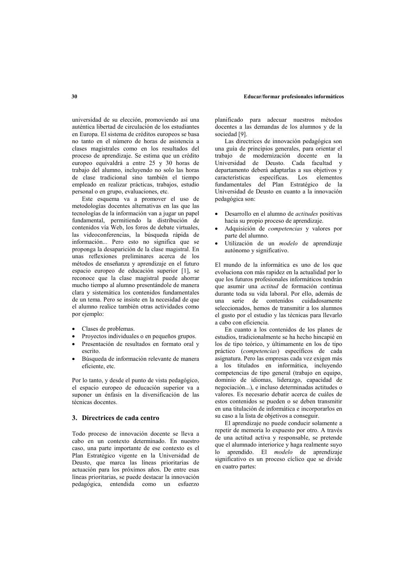universidad de su elección, promoviendo así una auténtica libertad de circulación de los estudiantes en Europa. El sistema de créditos europeos se basa no tanto en el número de horas de asistencia a clases magistrales como en los resultados del proceso de aprendizaje. Se estima que un crédito europeo equivaldrá a entre 25 y 30 horas de trabajo del alumno, incluvendo no solo las horas de clase tradicional sino también el tiempo empleado en realizar prácticas, trabajos, estudio personal o en grupo, evaluaciones, etc.

Este esquema va a promover el uso de metodologías docentes alternativas en las que las tecnologías de la información van a jugar un papel fundamental, permitiendo la distribución de contenidos vía Web, los foros de debate virtuales, las videoconferencias, la búsqueda rápida de información... Pero esto no significa que se proponga la desaparición de la clase magistral. En unas reflexiones preliminares acerca de los métodos de enseñanza y aprendizaje en el futuro espacio europeo de educación superior [1], se reconoce que la clase magistral puede ahorrar mucho tiempo al alumno presentándole de manera clara y sistemática los contenidos fundamentales de un tema. Pero se insiste en la necesidad de que el alumno realice también otras actividades como por ejemplo:

- Clases de problemas.
- Proyectos individuales o en pequeños grupos.
- Presentación de resultados en formato oral y escrito
- Búsqueda de información relevante de manera eficiente, etc.

Por lo tanto, y desde el punto de vista pedagógico, el espacio europeo de educación superior va a suponer un énfasis en la diversificación de las técnicas docentes.

## 3. Directrices de cada centro

Todo proceso de innovación docente se lleva a cabo en un contexto determinado. En nuestro caso, una parte importante de ese contexto es el Plan Estratégico vigente en la Universidad de Deusto. que marca las líneas prioritarias de actuación para los próximos años. De entre esas líneas prioritarias, se puede destacar la innovación pedagógica, entendida como un esfuerzo

planificado para adecuar nuestros métodos docentes a las demandas de los alumnos y de la sociedad [9]

Las directrices de innovación pedagógica son una guía de principios generales, para orientar el trabajo de modernización docente en la<br>Universidad de Deusto. Cada facultad y departamento deberá adaptarlas a sus objetivos y características específicas. Los elementos fundamentales del Plan Estratégico de la Universidad de Deusto en cuanto a la innovación pedagógica son:

- Desarrollo en el alumno de *actitudes* positivas hacia su propio proceso de aprendizaje.
- Adquisición de *competencias* y valores por parte del alumno.
- Utilización de un modelo de aprendizaje autónomo y significativo.

El mundo de la informática es uno de los que evoluciona con más rapidez en la actualidad por lo que los futuros profesionales informáticos tendrán que asumir una *actitud* de formación continua durante toda su vida laboral. Por ello además de cuidadosamente serie de contenidos una seleccionados, hemos de transmitir a los alumnos el gusto por el estudio y las técnicas para llevarlo a cabo con eficiencia

En cuanto a los contenidos de los planes de estudios, tradicionalmente se ha hecho hincapié en los de tipo teórico, y últimamente en los de tipo práctico (competencias) específicos de cada asignatura. Pero las empresas cada vez exigen más a los titulados en informática, incluyendo competencias de tipo general (trabajo en equipo, dominio de idiomas, liderazgo, capacidad de negociación...), e incluso determinadas actitudes o valores. Es necesario debatir acerca de cuáles de estos contenidos se pueden o se deben transmitir en una titulación de informática e incorporarlos en su caso a la lista de obietivos a conseguir.

El aprendizaje no puede conducir solamente a repetir de memoria lo expuesto por otro. A través de una actitud activa y responsable, se pretende que el alumnado interiorice y haga realmente suyo lo aprendido. El modelo de aprendizaje significativo es un proceso cíclico que se divide en cuatro partes: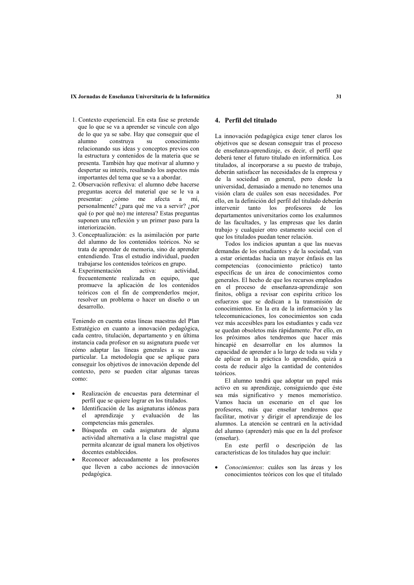### IX Jornadas de Enseñanza Universitaria de la Informática

- 1. Contexto experiencial. En esta fase se pretende que lo que se va a aprender se vincule con algo de lo que va se sabe. Hay que conseguir que el  $\overline{\mathbf{S}}$ u conocimiento  $\frac{1}{2}$ construya relacionando sus ideas y conceptos previos con la estructura y contenidos de la materia que se presenta. También hay que motivar al alumno y despertar su interés, resaltando los aspectos más importantes del tema que se va a abordar.
- 2. Observación reflexiva: el alumno debe hacerse preguntas acerca del material que se le va a presentar: ¿cómo me afecta a mí, personalmente? ¿para qué me va a servir? ¿por qué (o por qué no) me interesa? Estas preguntas suponen una reflexión y un primer paso para la interiorización.
- 3. Conceptualización: es la asimilación por parte del alumno de los contenidos teóricos. No se trata de aprender de memoria, sino de aprender entendiendo. Tras el estudio individual, pueden trabajarse los contenidos teóricos en grupo.
- 4. Experimentación activa: actividad. frecuentemente realizada en equipo, que promueve la aplicación de los contenidos teóricos con el fin de comprenderlos mejor, resolver un problema o hacer un diseño o un desarrollo

Teniendo en cuenta estas líneas maestras del Plan Estratégico en cuanto a innovación pedagógica, cada centro, titulación, departamento y en última instancia cada profesor en su asignatura puede ver cómo adaptar las líneas generales a su caso particular. La metodología que se aplique para conseguir los objetivos de innovación depende del contexto, pero se pueden citar algunas tareas como:

- Realización de encuestas para determinar el perfil que se quiere lograr en los titulados.
- Identificación de las asignaturas idóneas para el aprendizaje y evaluación de las competencias más generales.
- Búsqueda en cada asignatura de alguna actividad alternativa a la clase magistral que permita alcanzar de igual manera los objetivos docentes establecidos.
- Reconocer adecuadamente a los profesores que lleven a cabo acciones de innovación pedagógica.

# 4 Perfil del titulado

La innovación pedagógica exige tener claros los objetivos que se desean conseguir tras el proceso de enseñanza-aprendizaje, es decir, el perfil que deberá tener el futuro titulado en informática. Los titulados, al incorporarse a su puesto de trabajo, deberán satisfacer las necesidades de la empresa v de la sociedad en general, pero desde la universidad, demasiado a menudo no tenemos una visión clara de cuáles son esas necesidades. Por ello, en la definición del perfil del titulado deberán intervenir tanto los profesores de los departamentos universitarios como los exalumnos de las facultades, y las empresas que les darán trabajo y cualquier otro estamento social con el que los titulados puedan tener relación.

Todos los indicios apuntan a que las nuevas demandas de los estudiantes y de la sociedad, van a estar orientadas hacia un mayor énfasis en las competencias (conocimiento práctico) tanto específicas de un área de conocimientos como generales. El hecho de que los recursos empleados en el proceso de enseñanza-aprendizaje son finitos, obliga a revisar con espíritu crítico los esfuerzos que se dedican a la transmisión de conocimientos. En la era de la información y las telecomunicaciones. los conocimientos son cada vez más accesibles para los estudiantes y cada vez se quedan obsoletos más rápidamente. Por ello, en los próximos años tendremos que hacer más hincapié en desarrollar en los alumnos la capacidad de aprender a lo largo de toda su vida y de aplicar en la práctica lo aprendido, quizá a costa de reducir algo la cantidad de contenidos teóricos

El alumno tendrá que adoptar un papel más activo en su aprendizaje, consiguiendo que éste sea más significativo y menos memorístico. Vamos hacia un escenario en el que los profesores, más que enseñar tendremos que facilitar, motivar y dirigir el aprendizaje de los alumnos. La atención se centrará en la actividad del alumno (aprender) más que en la del profesor (enseñar).

En este perfil o descripción de las características de los titulados hay que incluir:

Conocimientos: cuáles son las áreas y los conocimientos teóricos con los que el titulado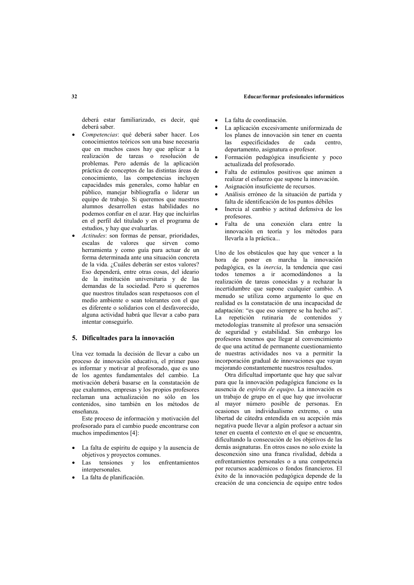#### Educar/formar profesionales informáticos

deberá estar familiarizado, es decir, qué deberá saber

- Competencias: qué deberá saber hacer. Los conocimientos teóricos son una base necesaria que en muchos casos hay que aplicar a la realización de tareas o resolución de problemas. Pero además de la aplicación práctica de conceptos de las distintas áreas de conocimiento las competencias incluven capacidades más generales, como hablar en público, manejar bibliografía o liderar un equipo de trabajo. Si queremos que nuestros alumnos desarrollen estas habilidades no podemos confiar en el azar. Hay que incluirlas en el perfil del titulado y en el programa de estudios, y hay que evaluarlas.
- Actitudes: son formas de pensar, prioridades, escalas de valores que sirven como herramienta y como guía para actuar de un forma determinada ante una situación concreta de la vida. ¿Cuáles deberán ser estos valores? Eso dependerá, entre otras cosas, del ideario de la institución universitaria y de las demandas de la sociedad. Pero si queremos que nuestros titulados sean respetuosos con el medio ambiente o sean tolerantes con el que es diferente o solidarios con el desfavorecido. alguna actividad habrá que llevar a cabo para intentar conseguirlo.

### 5. Dificultades para la innovación

Una vez tomada la decisión de llevar a cabo un proceso de innovación educativa, el primer paso es informar y motivar al profesorado, que es uno de los agentes fundamentales del cambio. La motivación deberá basarse en la constatación de que exalumnos, empresas y los propios profesores reclaman una actualización no sólo en los contenidos, sino también en los métodos de enseñanza

Este proceso de información y motivación del profesorado para el cambio puede encontrarse con muchos impedimentos [4]:

- La falta de espíritu de equipo y la ausencia de objetivos y proyectos comunes.
- tensiones Las y los enfrentamientos interpersonales.
- La falta de planificación.
- · La falta de coordinación.
- La aplicación excesivamente uniformizada de los planes de innovación sin tener en cuenta especificidades de cada  $\log$ centro departamento, asignatura o profesor.
- Formación pedagógica insuficiente y poco actualizada del profesorado.
- Falta de estímulos positivos que animen a realizar el esfuerzo que supone la innovación.
- Asignación insuficiente de recursos.
- Análisis erróneo de la situación de partida y falta de identificación de los puntos débiles
- Inercia al cambio y actitud defensiva de los profesores.
- Falta de una conexión clara entre la innovación en teoría y los métodos para llevarla a la práctica...

Uno de los obstáculos que hay que vencer a la hora de poner en marcha la innovación pedagógica, es la inercia, la tendencia que casi todos tenemos a ir acomodándonos a la realización de tareas conocidas y a rechazar la incertidumbre que supone cualquier cambio. A menudo se utiliza como argumento lo que en realidad es la constatación de una incapacidad de adaptación: "es que eso siempre se ha hecho así". La repetición rutinaria de contenidos y metodologías transmite al profesor una sensación de seguridad y estabilidad. Sin embargo los profesores tenemos que llegar al convencimiento de que una actitud de permanente cuestionamiento de nuestras actividades nos va a permitir la incorporación gradual de innovaciones que vayan mejorando constantemente nuestros resultados.

Otra dificultad importante que hay que salvar para que la innovación pedagógica funcione es la ausencia de espíritu de equipo. La innovación es un trabajo de grupo en el que hay que involucrar al mayor número posible de personas. En ocasiones un individualismo extremo, o una libertad de cátedra entendida en su acepción más negativa puede llevar a algún profesor a actuar sin tener en cuenta el contexto en el que se encuentra, dificultando la consecución de los objetivos de las demás asignaturas. En otros casos no solo existe la desconexión sino una franca rivalidad, debida a enfrentamientos personales o a una competencia por recursos académicos o fondos financieros. El éxito de la innovación pedagógica depende de la creación de una conciencia de equipo entre todos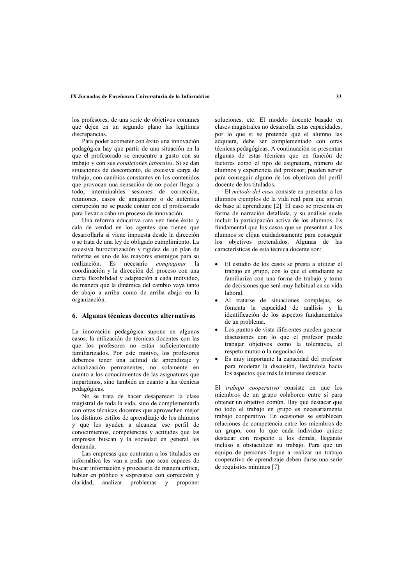### IX Jornadas de Enseñanza Universitaria de la Informática

los profesores, de una serie de objetivos comunes que dejen en un segundo plano las legítimas discrepancias.

Para poder acometer con éxito una innovación pedagógica hay que partir de una situación en la que el profesorado se encuentre a gusto con su trabajo y con sus *condiciones laborales*. Si se dan situaciones de descontento, de excesiva carga de trabajo, con cambios constantes en los contenidos que provocan una sensación de no poder llegar a todo, interminables sesiones de corrección, reuniones, casos de amiguismo o de auténtica corrupción no se puede contar con el profesorado para llevar a cabo un proceso de innovación.

Una reforma educativa rara vez tiene éxito y cala de verdad en los agentes que tienen que desarrollarla si viene impuesta desde la dirección o se trata de una lev de obligado cumplimiento. La excesiva burocratización y rigidez de un plan de reforma es uno de los mayores enemigos para su realización. Es necesario compaginar la coordinación y la dirección del proceso con una cierta flexibilidad y adaptación a cada individuo, de manera que la dinámica del cambio vaya tanto de abajo a arriba como de arriba abajo en la organización.

### 6. Algunas técnicas docentes alternativas

La innovación pedagógica supone en algunos casos, la utilización de técnicas docentes con las que los profesores no están suficientemente familiarizados. Por este motivo, los profesores debemos tener una actitud de aprendizaje v actualización permanentes, no solamente en cuanto a los conocimientos de las asignaturas que impartimos, sino también en cuanto a las técnicas pedagógicas.

No se trata de hacer desaparecer la clase magistral de toda la vida, sino de complementarla con otras técnicas docentes que aprovechen mejor los distintos estilos de aprendizaje de los alumnos y que les ayuden a alcanzar ese perfil de conocimientos, competencias y actitudes que las empresas buscan y la sociedad en general les demanda.

Las empresas que contratan a los titulados en informática les van a pedir que sean capaces de buscar información y procesarla de manera crítica. hablar en público y expresarse con corrección y claridad, analizar problemas y proponer

soluciones, etc. El modelo docente basado en clases magistrales no desarrolla estas capacidades, por lo que si se pretende que el alumno las adquiera, debe ser complementado con otras técnicas pedagógicas. A continuación se presentan algunas de estas técnicas que en función de factores como el tipo de asignatura, número de alumnos y experiencia del profesor, pueden servir para conseguir alguno de los objetivos del perfil docente de los titulados.

El método del caso consiste en presentar a los alumnos ejemplos de la vida real para que sirvan de base al aprendizaje [2]. El caso se presenta en forma de narración detallada, y su análisis suele incluir la participación activa de los alumnos. Es fundamental que los casos que se presentan a los alumnos se elijan cuidadosamente para conseguir los objetivos pretendidos. Algunas de las características de esta técnica docente son:

- El estudio de los casos se presta a utilizar el trabajo en grupo, con lo que el estudiante se familiariza con una forma de trabajo y toma de decisiones que será muy habitual en su vida laboral.
- Al tratarse de situaciones complejas, se fomenta la capacidad de análisis y la identificación de los aspectos fundamentales de un problema.
- Los puntos de vista diferentes pueden generar discusiones con lo que el profesor puede trabajar objetivos como la tolerancia, el respeto mutuo o la negociación.
- Es muy importante la capacidad del profesor para moderar la discusión, llevándola hacia los aspectos que más le interese destacar.

El trabajo cooperativo consiste en que los miembros de un grupo colaboren entre sí para obtener un objetivo común. Hay que destacar que no todo el trabajo en grupo es necesariamente trabajo cooperativo. En ocasiones se establecen relaciones de competencia entre los miembros de un grupo, con lo que cada individuo quiere destacar con respecto a los demás, llegando incluso a obstaculizar su trabajo. Para que un equipo de personas llegue a realizar un trabajo cooperativo de aprendizaje deben darse una serie de requisitos mínimos [7]: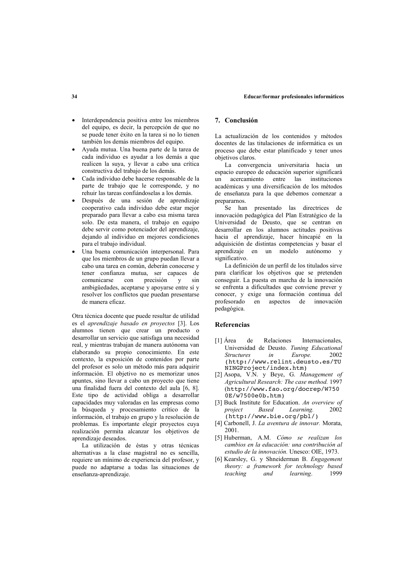#### Educar/formar profesionales informáticos

- Interdependencia positiva entre los miembros del equipo, es decir, la percepción de que no se puede tener éxito en la tarea si no lo tienen también los demás miembros del equipo.
- Ayuda mutua. Una buena parte de la tarea de cada individuo es avudar a los demás a que realicen la suya, y llevar a cabo una crítica constructiva del trabajo de los demás.
- Cada individuo debe hacerse responsable de la parte de trabajo que le corresponde, y no rehuir las tareas confiándoselas a los demás.
- · Después de una sesión de aprendizaje cooperativo cada individuo debe estar mejor preparado para llevar a cabo esa misma tarea solo. De esta manera, el trabajo en equipo debe servir como potenciador del aprendizaje, dejando al individuo en mejores condiciones para el trabajo individual.
- Una buena comunicación interpersonal. Para que los miembros de un grupo puedan llevar a cabo una tarea en común. deberán conocerse y tener confianza mutua, ser capaces de comunicarse con precisión y sin ambigüedades, aceptarse y apoyarse entre sí y resolver los conflictos que puedan presentarse de manera eficaz.

Otra técnica docente que puede resultar de utilidad es el aprendizaje basado en proyectos [3]. Los alumnos tienen que crear un producto o desarrollar un servicio que satisfaga una necesidad real, y mientras trabajan de manera autónoma van elaborando su propio conocimiento. En este contexto, la exposición de contenidos por parte del profesor es solo un método más para adquirir información. El objetivo no es memorizar unos apuntes, sino llevar a cabo un proyecto que tiene una finalidad fuera del contexto del aula [6, 8]. Este tipo de actividad obliga a desarrollar capacidades muy valoradas en las empresas como la búsqueda y procesamiento crítico de la información, el trabajo en grupo y la resolución de problemas. Es importante elegir proyectos cuya realización permita alcanzar los objetivos de aprendizaje deseados.

La utilización de éstas y otras técnicas alternativas a la clase magistral no es sencilla. requiere un mínimo de experiencia del profesor, y puede no adaptarse a todas las situaciones de enseñanza-aprendizaje.

### 7 Conclusión

La actualización de los contenidos y métodos docentes de las titulaciones de informática es un proceso que debe estar planificado y tener unos objetivos claros.

La convergencia universitaria hacia un espacio europeo de educación superior significará  $\mathbf{m}$ acercamiento entre las instituciones académicas y una diversificación de los métodos de enseñanza para la que debemos comenzar a prepararnos.

Se han presentado las directrices de innovación pedagógica del Plan Estratégico de la Universidad de Deusto, que se centran en desarrollar en los alumnos actitudes positivas hacia el aprendizaje, hacer hincapié en la adquisición de distintas competencias y basar el aprendizaje en un modelo autónomo y significativo.

La definición de un perfil de los titulados sirve para clarificar los objetivos que se pretenden conseguir. La puesta en marcha de la innovación se enfrenta a dificultades que conviene prever y conocer, y exige una formación continua del profesorado en aspectos de innovación nedagógica.

#### **Referencias**

- de [1] Área Relaciones Internacionales Universidad de Deusto. Tuning Educational 2002 Structures  $in$ Europe. (http://www.relint.deusto.es/TU NINGProject/index.htm)
- [2] Asopa, V.N. y Beye, G. Management of Agricultural Research: The case method. 1997 (http://www.fao.org/docrep/W750  $0E/\sqrt{7500e0b}$ .htm)
- [3] Buck Institute for Education. An overview of project **Based** Learning. 2002 (http://www.bie.org/pbl/)
- [4] Carbonell, J. La aventura de innovar. Morata, 2001
- [5] Huberman, A.M. Cómo se realizan los cambios en la educación: una contribución al estudio de la innovación. Unesco: OIE, 1973.
- [6] Kearsley, G. y Shneiderman B. Engagement theory: a framework for technology based teaching and learning. 1999

### $34$